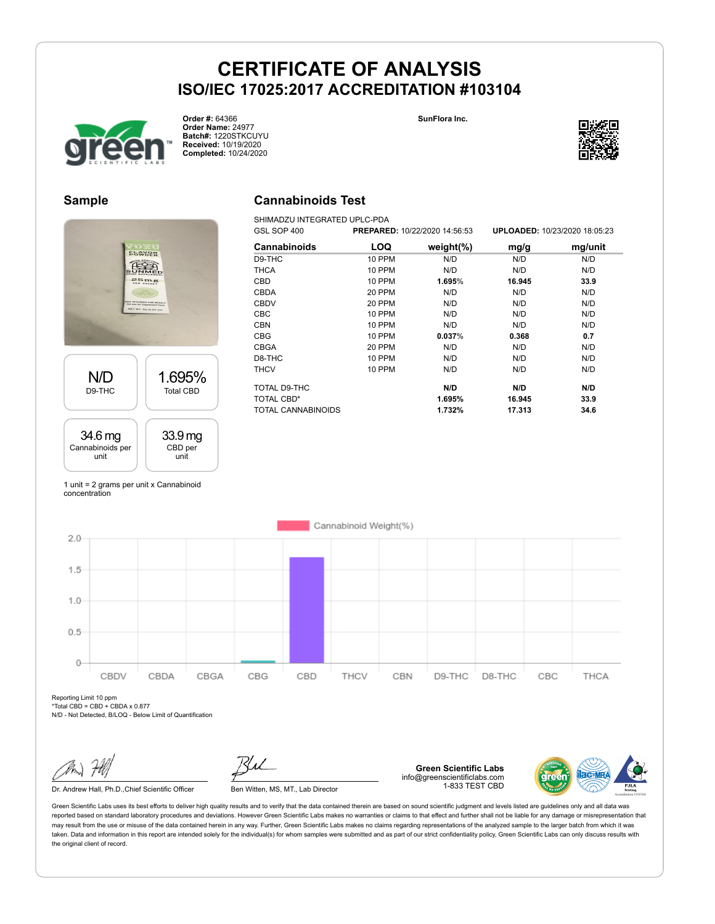**Cannabinoids Test** SHIMADZU INTEGRATED UPLC-PDA





**Order #:** 64366 **Order Name:** 24977 **Batch#:** 1220STKCUYU **Received:** 10/19/2020 **Completed:** 10/24/2020



#### **Sample**



| UJL JUF 400               | <b>FREFARED.</b> IVIZZIZUZU 14.30.33 |               | <b>UFLUADED.</b> IWZJZUZU 10.03.ZJ |         |  |
|---------------------------|--------------------------------------|---------------|------------------------------------|---------|--|
| <b>Cannabinoids</b>       | <b>LOQ</b>                           | weight $(\%)$ | mg/g                               | mg/unit |  |
| D9-THC                    | <b>10 PPM</b>                        | N/D           | N/D                                | N/D     |  |
| <b>THCA</b>               | <b>10 PPM</b>                        | N/D           | N/D                                | N/D     |  |
| CBD                       | <b>10 PPM</b>                        | 1.695%        | 16.945                             | 33.9    |  |
| <b>CBDA</b>               | 20 PPM                               | N/D           | N/D                                | N/D     |  |
| <b>CBDV</b>               | 20 PPM                               | N/D           | N/D                                | N/D     |  |
| <b>CBC</b>                | 10 PPM                               | N/D           | N/D                                | N/D     |  |
| <b>CBN</b>                | <b>10 PPM</b>                        | N/D           | N/D                                | N/D     |  |
| <b>CBG</b>                | <b>10 PPM</b>                        | 0.037%        | 0.368                              | 0.7     |  |
| <b>CBGA</b>               | 20 PPM                               | N/D           | N/D                                | N/D     |  |
| D8-THC                    | 10 PPM                               | N/D           | N/D                                | N/D     |  |
| <b>THCV</b>               | 10 PPM                               | N/D           | N/D                                | N/D     |  |
| TOTAL D9-THC              |                                      | N/D           | N/D                                | N/D     |  |
| <b>TOTAL CBD*</b>         |                                      | 1.695%        | 16.945                             | 33.9    |  |
| <b>TOTAL CANNABINOIDS</b> |                                      | 1.732%        | 17.313                             | 34.6    |  |

GSL SOP 400 **PREPARED:** 10/22/2020 14:56:53 **UPLOADED:** 10/23/2020 18:05:23

1 unit = 2 grams per unit x Cannabinoid concentration



Reporting Limit 10 ppm \*Total CBD = CBD + CBDA x 0.877

N/D - Not Detected, B/LOQ - Below Limit of Quantification

Dr. Andrew Hall, Ph.D., Chief Scientific Officer Ben Witten, MS, MT., Lab Director

**Green Scientific Labs** info@greenscientificlabs.com 1-833 TEST CBD

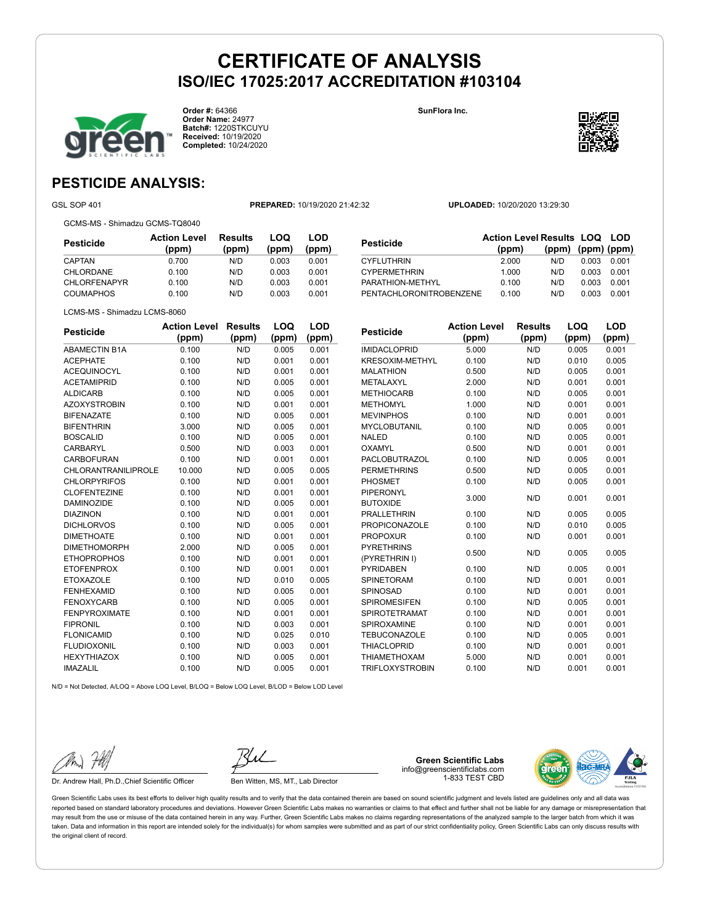**Order #:** 64366 **Order Name:** 24977 **Batch#:** 1220STKCUYU **Received:** 10/19/2020 **Completed:** 10/24/2020

**SunFlora Inc.**



## **PESTICIDE ANALYSIS:**

GSL SOP 401 **PREPARED:** 10/19/2020 21:42:32 **UPLOADED:** 10/20/2020 13:29:30

GCMS-MS - Shimadzu GCMS-TQ8040

| Pesticide           | <b>Action Level</b><br>(ppm) | Results<br>(ppm) | LOQ<br>(ppm) | LOD<br>(ppm) |
|---------------------|------------------------------|------------------|--------------|--------------|
| CAPTAN              | 0.700                        | N/D              | 0.003        | 0.001        |
| CHLORDANE           | 0.100                        | N/D              | 0.003        | 0.001        |
| <b>CHLORFENAPYR</b> | 0.100                        | N/D              | 0.003        | 0.001        |
| <b>COUMAPHOS</b>    | 0.100                        | N/D              | 0.003        | 0.001        |

| Pesticide               | <b>Action Level Results LOQ LOD</b><br>(ppm) | (ppm) (ppm) (ppm) |       |       |
|-------------------------|----------------------------------------------|-------------------|-------|-------|
| CYFLUTHRIN              | 2.000                                        | N/D               | 0.003 | 0.001 |
| <b>CYPERMETHRIN</b>     | 1.000                                        | N/D               | 0.003 | 0.001 |
| PARATHION-METHYL        | 0.100                                        | N/D               | 0.003 | 0.001 |
| PENTACHLORONITROBENZENE | 0.100                                        | N/D               | 0.003 | 0.001 |

|  | LCMS-MS - Shimadzu LCMS-8060 |
|--|------------------------------|

| <b>Pesticide</b>     | <b>Action Level</b> | <b>Results</b> | LOQ   | LOD   |
|----------------------|---------------------|----------------|-------|-------|
|                      | (ppm)               | (ppm)          | (ppm) | (ppm) |
| <b>ABAMECTIN B1A</b> | 0.100               | N/D            | 0.005 | 0.001 |
| <b>ACEPHATE</b>      | 0.100               | N/D            | 0.001 | 0.001 |
| <b>ACEQUINOCYL</b>   | 0.100               | N/D            | 0.001 | 0.001 |
| <b>ACETAMIPRID</b>   | 0.100               | N/D            | 0.005 | 0.001 |
| <b>ALDICARB</b>      | 0.100               | N/D            | 0.005 | 0.001 |
| <b>AZOXYSTROBIN</b>  | 0.100               | N/D            | 0.001 | 0.001 |
| <b>BIFENAZATE</b>    | 0.100               | N/D            | 0.005 | 0.001 |
| <b>BIFENTHRIN</b>    | 3.000               | N/D            | 0.005 | 0.001 |
| <b>BOSCALID</b>      | 0.100               | N/D            | 0.005 | 0.001 |
| CARBARYL             | 0.500               | N/D            | 0.003 | 0.001 |
| <b>CARBOFURAN</b>    | 0.100               | N/D            | 0.001 | 0.001 |
| CHLORANTRANILIPROLE  | 10.000              | N/D            | 0.005 | 0.005 |
| <b>CHLORPYRIFOS</b>  | 0.100               | N/D            | 0.001 | 0.001 |
| <b>CLOFENTEZINE</b>  | 0.100               | N/D            | 0.001 | 0.001 |
| <b>DAMINOZIDE</b>    | 0.100               | N/D            | 0.005 | 0.001 |
| <b>DIAZINON</b>      | 0.100               | N/D            | 0.001 | 0.001 |
| <b>DICHLORVOS</b>    | 0.100               | N/D            | 0.005 | 0.001 |
| <b>DIMETHOATE</b>    | 0.100               | N/D            | 0.001 | 0.001 |
| <b>DIMETHOMORPH</b>  | 2.000               | N/D            | 0.005 | 0.001 |
| <b>ETHOPROPHOS</b>   | 0.100               | N/D            | 0.001 | 0.001 |
| <b>ETOFENPROX</b>    | 0.100               | N/D            | 0.001 | 0.001 |
| <b>ETOXAZOLE</b>     | 0.100               | N/D            | 0.010 | 0.005 |
| <b>FENHEXAMID</b>    | 0.100               | N/D            | 0.005 | 0.001 |
| <b>FENOXYCARB</b>    | 0.100               | N/D            | 0.005 | 0.001 |
| <b>FENPYROXIMATE</b> | 0.100               | N/D            | 0.001 | 0.001 |
| <b>FIPRONIL</b>      | 0.100               | N/D            | 0.003 | 0.001 |
| <b>FLONICAMID</b>    | 0.100               | N/D            | 0.025 | 0.010 |
| <b>FLUDIOXONIL</b>   | 0.100               | N/D            | 0.003 | 0.001 |
| <b>HEXYTHIAZOX</b>   | 0.100               | N/D            | 0.005 | 0.001 |
| <b>IMAZALIL</b>      | 0.100               | N/D            | 0.005 | 0.001 |

| <b>Pesticide</b>       | <b>Action Level</b> | <b>Results</b> | LOQ   | LOD   |
|------------------------|---------------------|----------------|-------|-------|
|                        | (ppm)               | (ppm)          | (ppm) | (ppm) |
| <b>IMIDACLOPRID</b>    | 5.000               | N/D            | 0.005 | 0.001 |
| KRESOXIM-METHYL        | 0.100               | N/D            | 0.010 | 0.005 |
| <b>MALATHION</b>       | 0.500               | N/D            | 0.005 | 0.001 |
| <b>METALAXYL</b>       | 2.000               | N/D            | 0.001 | 0.001 |
| <b>METHIOCARB</b>      | 0.100               | N/D            | 0.005 | 0.001 |
| <b>METHOMYL</b>        | 1.000               | N/D            | 0.001 | 0.001 |
| <b>MEVINPHOS</b>       | 0.100               | N/D            | 0.001 | 0.001 |
| <b>MYCLOBUTANIL</b>    | 0.100               | N/D            | 0.005 | 0.001 |
| <b>NALED</b>           | 0.100               | N/D            | 0.005 | 0.001 |
| OXAMYL                 | 0.500               | N/D            | 0.001 | 0.001 |
| PACLOBUTRAZOL          | 0.100               | N/D            | 0.005 | 0.001 |
| <b>PERMETHRINS</b>     | 0.500               | N/D            | 0.005 | 0.001 |
| PHOSMET                | 0.100               | N/D            | 0.005 | 0.001 |
| <b>PIPERONYL</b>       | 3.000               | N/D            | 0.001 | 0.001 |
| <b>BUTOXIDE</b>        |                     |                |       |       |
| <b>PRALLETHRIN</b>     | 0.100               | N/D            | 0.005 | 0.005 |
| <b>PROPICONAZOLE</b>   | 0.100               | N/D            | 0.010 | 0.005 |
| <b>PROPOXUR</b>        | 0.100               | N/D            | 0.001 | 0.001 |
| <b>PYRETHRINS</b>      | 0.500               | N/D            | 0.005 | 0.005 |
| (PYRETHRIN I)          |                     |                |       |       |
| <b>PYRIDABEN</b>       | 0.100               | N/D            | 0.005 | 0.001 |
| <b>SPINETORAM</b>      | 0.100               | N/D            | 0.001 | 0.001 |
| SPINOSAD               | 0.100               | N/D            | 0.001 | 0.001 |
| <b>SPIROMESIFEN</b>    | 0.100               | N/D            | 0.005 | 0.001 |
| <b>SPIROTETRAMAT</b>   | 0.100               | N/D            | 0.001 | 0.001 |
| SPIROXAMINE            | 0.100               | N/D            | 0.001 | 0.001 |
| <b>TEBUCONAZOLE</b>    | 0.100               | N/D            | 0.005 | 0.001 |
| <b>THIACLOPRID</b>     | 0.100               | N/D            | 0.001 | 0.001 |
| <b>THIAMETHOXAM</b>    | 5.000               | N/D            | 0.001 | 0.001 |
| <b>TRIFLOXYSTROBIN</b> | 0.100               | N/D            | 0.001 | 0.001 |

N/D = Not Detected, A/LOQ = Above LOQ Level, B/LOQ = Below LOQ Level, B/LOD = Below LOD Level

Dr. Andrew Hall, Ph.D., Chief Scientific Officer Ben Witten, MS, MT., Lab Director

**Green Scientific Labs** info@greenscientificlabs.com 1-833 TEST CBD

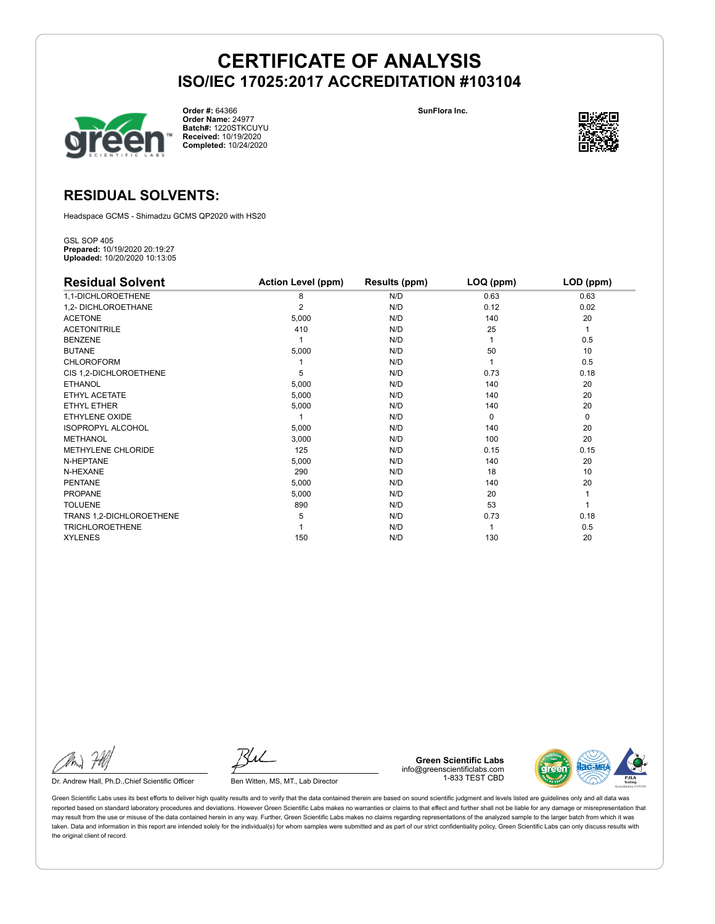

**Order #:** 64366 **Order Name:** 24977 **Batch#:** 1220STKCUYU **Received:** 10/19/2020 **Completed:** 10/24/2020

**SunFlora Inc.**



### **RESIDUAL SOLVENTS:**

Headspace GCMS - Shimadzu GCMS QP2020 with HS20

GSL SOP 405 **Prepared:** 10/19/2020 20:19:27 **Uploaded:** 10/20/2020 10:13:05

| <b>Residual Solvent</b>   | <b>Action Level (ppm)</b> | Results (ppm) | LOQ (ppm) | LOD (ppm) |
|---------------------------|---------------------------|---------------|-----------|-----------|
| 1,1-DICHLOROETHENE        | 8                         | N/D           | 0.63      | 0.63      |
| 1,2- DICHLOROETHANE       | $\overline{2}$            | N/D           | 0.12      | 0.02      |
| <b>ACETONE</b>            | 5,000                     | N/D           | 140       | 20        |
| <b>ACETONITRILE</b>       | 410                       | N/D           | 25        | 1         |
| <b>BENZENE</b>            |                           | N/D           |           | 0.5       |
| <b>BUTANE</b>             | 5,000                     | N/D           | 50        | 10        |
| <b>CHLOROFORM</b>         |                           | N/D           |           | 0.5       |
| CIS 1,2-DICHLOROETHENE    | 5                         | N/D           | 0.73      | 0.18      |
| <b>ETHANOL</b>            | 5,000                     | N/D           | 140       | 20        |
| ETHYL ACETATE             | 5,000                     | N/D           | 140       | 20        |
| <b>ETHYL ETHER</b>        | 5,000                     | N/D           | 140       | 20        |
| ETHYLENE OXIDE            |                           | N/D           | $\Omega$  | 0         |
| <b>ISOPROPYL ALCOHOL</b>  | 5,000                     | N/D           | 140       | 20        |
| <b>METHANOL</b>           | 3,000                     | N/D           | 100       | 20        |
| <b>METHYLENE CHLORIDE</b> | 125                       | N/D           | 0.15      | 0.15      |
| N-HEPTANE                 | 5,000                     | N/D           | 140       | 20        |
| N-HEXANE                  | 290                       | N/D           | 18        | 10        |
| <b>PENTANE</b>            | 5,000                     | N/D           | 140       | 20        |
| <b>PROPANE</b>            | 5,000                     | N/D           | 20        |           |
| <b>TOLUENE</b>            | 890                       | N/D           | 53        |           |
| TRANS 1,2-DICHLOROETHENE  | 5                         | N/D           | 0.73      | 0.18      |
| <b>TRICHLOROETHENE</b>    |                           | N/D           |           | 0.5       |
| <b>XYLENES</b>            | 150                       | N/D           | 130       | 20        |

Dr. Andrew Hall, Ph.D., Chief Scientific Officer Ben Witten, MS, MT., Lab Director

**Green Scientific Labs** info@greenscientificlabs.com 1-833 TEST CBD

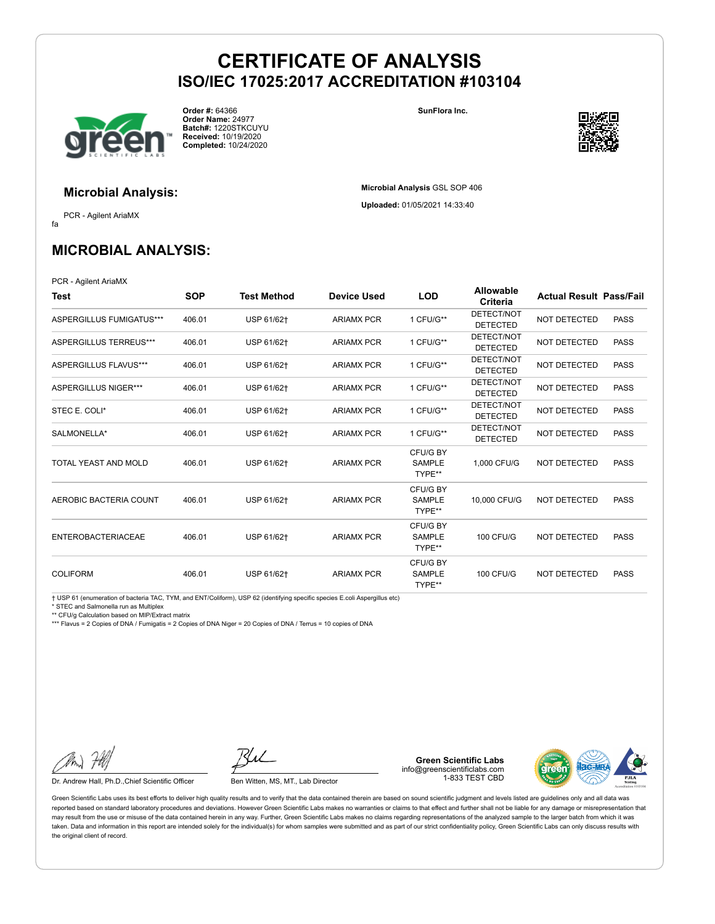

**Order #:** 64366 **Order Name:** 24977 **Batch#:** 1220STKCUYU **Received:** 10/19/2020 **Completed:** 10/24/2020

**SunFlora Inc.**

**Microbial Analysis** GSL SOP 406 **Uploaded:** 01/05/2021 14:33:40



**Microbial Analysis:**

fa PCR - Agilent AriaMX

## **MICROBIAL ANALYSIS:**

PCR - Agilent AriaMX

| Test                      | <b>SOP</b> | <b>Test Method</b> | <b>Device Used</b> | <b>LOD</b>                          | <b>Allowable</b><br>Criteria  | <b>Actual Result Pass/Fail</b> |             |
|---------------------------|------------|--------------------|--------------------|-------------------------------------|-------------------------------|--------------------------------|-------------|
| ASPERGILLUS FUMIGATUS***  | 406.01     | USP 61/62+         | <b>ARIAMX PCR</b>  | 1 CFU/G**                           | DETECT/NOT<br><b>DETECTED</b> | <b>NOT DETECTED</b>            | <b>PASS</b> |
| ASPERGILLUS TERREUS***    | 406.01     | USP 61/62+         | <b>ARIAMX PCR</b>  | 1 CFU/G**                           | DETECT/NOT<br><b>DETECTED</b> | NOT DETECTED                   | <b>PASS</b> |
| ASPERGILLUS FLAVUS***     | 406.01     | USP 61/62+         | <b>ARIAMX PCR</b>  | 1 CFU/G**                           | DETECT/NOT<br><b>DETECTED</b> | <b>NOT DETECTED</b>            | <b>PASS</b> |
| ASPERGILLUS NIGER***      | 406.01     | USP 61/62+         | <b>ARIAMX PCR</b>  | 1 CFU/G**                           | DETECT/NOT<br><b>DETECTED</b> | NOT DETECTED                   | <b>PASS</b> |
| STEC E. COLI*             | 406.01     | USP 61/62+         | <b>ARIAMX PCR</b>  | 1 CFU/G**                           | DETECT/NOT<br><b>DETECTED</b> | NOT DETECTED                   | <b>PASS</b> |
| SALMONELLA*               | 406.01     | USP 61/62+         | <b>ARIAMX PCR</b>  | 1 CFU/G**                           | DETECT/NOT<br><b>DETECTED</b> | <b>NOT DETECTED</b>            | <b>PASS</b> |
| TOTAL YEAST AND MOLD      | 406.01     | USP 61/62+         | <b>ARIAMX PCR</b>  | CFU/G BY<br><b>SAMPLE</b><br>TYPE** | 1.000 CFU/G                   | NOT DETECTED                   | <b>PASS</b> |
| AEROBIC BACTERIA COUNT    | 406.01     | USP 61/62+         | <b>ARIAMX PCR</b>  | CFU/G BY<br><b>SAMPLE</b><br>TYPE** | 10,000 CFU/G                  | NOT DETECTED                   | <b>PASS</b> |
| <b>ENTEROBACTERIACEAE</b> | 406.01     | USP 61/62+         | <b>ARIAMX PCR</b>  | CFU/G BY<br><b>SAMPLE</b><br>TYPE** | <b>100 CFU/G</b>              | NOT DETECTED                   | <b>PASS</b> |
| <b>COLIFORM</b>           | 406.01     | USP 61/62+         | <b>ARIAMX PCR</b>  | CFU/G BY<br><b>SAMPLE</b><br>TYPE** | <b>100 CFU/G</b>              | NOT DETECTED                   | <b>PASS</b> |

† USP 61 (enumeration of bacteria TAC, TYM, and ENT/Coliform), USP 62 (identifying specific species E.coli Aspergillus etc)

\* STEC and Salmonella run as Multiplex

\*\* CFU/g Calculation based on MIP/Extract matrix

\*\*\* Flavus = 2 Copies of DNA / Fumigatis = 2 Copies of DNA Niger = 20 Copies of DNA / Terrus = 10 copies of DNA

Dr. Andrew Hall, Ph.D., Chief Scientific Officer Ben Witten, MS, MT., Lab Director

**Green Scientific Labs** info@greenscientificlabs.com 1-833 TEST CBD